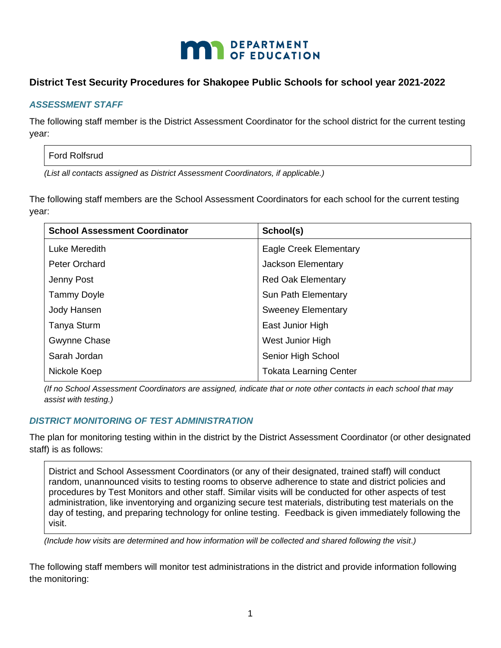

# **District Test Security Procedures for Shakopee Public Schools for school year 2021-2022**

## *ASSESSMENT STAFF*

The following staff member is the District Assessment Coordinator for the school district for the current testing year:

### Ford Rolfsrud

*(List all contacts assigned as District Assessment Coordinators, if applicable.)*

The following staff members are the School Assessment Coordinators for each school for the current testing year:

| <b>School Assessment Coordinator</b> | School(s)                     |
|--------------------------------------|-------------------------------|
| Luke Meredith                        | Eagle Creek Elementary        |
| <b>Peter Orchard</b>                 | Jackson Elementary            |
| Jenny Post                           | <b>Red Oak Elementary</b>     |
| <b>Tammy Doyle</b>                   | Sun Path Elementary           |
| Jody Hansen                          | <b>Sweeney Elementary</b>     |
| <b>Tanya Sturm</b>                   | East Junior High              |
| Gwynne Chase                         | West Junior High              |
| Sarah Jordan                         | Senior High School            |
| Nickole Koep                         | <b>Tokata Learning Center</b> |
|                                      |                               |

*(If no School Assessment Coordinators are assigned, indicate that or note other contacts in each school that may assist with testing.)*

## *DISTRICT MONITORING OF TEST ADMINISTRATION*

The plan for monitoring testing within in the district by the District Assessment Coordinator (or other designated staff) is as follows:

District and School Assessment Coordinators (or any of their designated, trained staff) will conduct random, unannounced visits to testing rooms to observe adherence to state and district policies and procedures by Test Monitors and other staff. Similar visits will be conducted for other aspects of test administration, like inventorying and organizing secure test materials, distributing test materials on the day of testing, and preparing technology for online testing. Feedback is given immediately following the visit.

*(Include how visits are determined and how information will be collected and shared following the visit.)*

The following staff members will monitor test administrations in the district and provide information following the monitoring: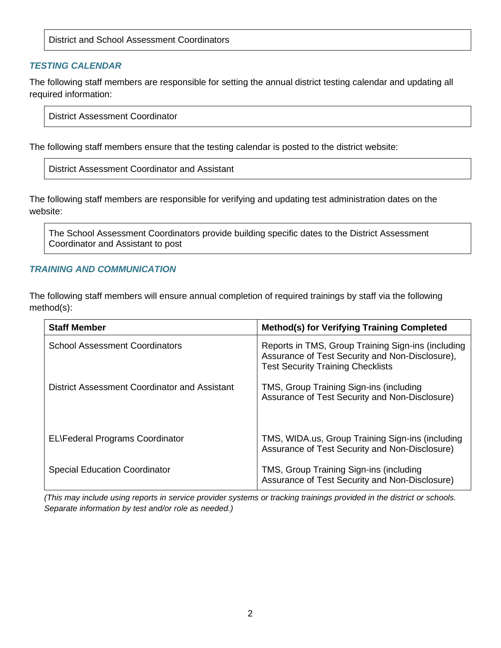District and School Assessment Coordinators

### *TESTING CALENDAR*

The following staff members are responsible for setting the annual district testing calendar and updating all required information:

District Assessment Coordinator

The following staff members ensure that the testing calendar is posted to the district website:

District Assessment Coordinator and Assistant

The following staff members are responsible for verifying and updating test administration dates on the website:

The School Assessment Coordinators provide building specific dates to the District Assessment Coordinator and Assistant to post

### *TRAINING AND COMMUNICATION*

The following staff members will ensure annual completion of required trainings by staff via the following method(s):

| <b>Staff Member</b>                           | <b>Method(s) for Verifying Training Completed</b>                                                                                                 |
|-----------------------------------------------|---------------------------------------------------------------------------------------------------------------------------------------------------|
| <b>School Assessment Coordinators</b>         | Reports in TMS, Group Training Sign-ins (including<br>Assurance of Test Security and Non-Disclosure),<br><b>Test Security Training Checklists</b> |
| District Assessment Coordinator and Assistant | TMS, Group Training Sign-ins (including<br>Assurance of Test Security and Non-Disclosure)                                                         |
| <b>EL</b> Federal Programs Coordinator        | TMS, WIDA.us, Group Training Sign-ins (including<br>Assurance of Test Security and Non-Disclosure)                                                |
| <b>Special Education Coordinator</b>          | TMS, Group Training Sign-ins (including<br>Assurance of Test Security and Non-Disclosure)                                                         |

*(This may include using reports in service provider systems or tracking trainings provided in the district or schools. Separate information by test and/or role as needed.)*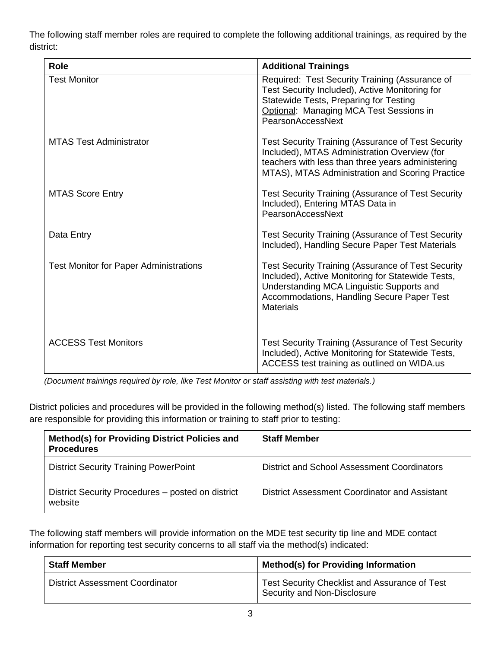The following staff member roles are required to complete the following additional trainings, as required by the district:

| <b>Role</b>                                   | <b>Additional Trainings</b>                                                                                                                                                                                                   |
|-----------------------------------------------|-------------------------------------------------------------------------------------------------------------------------------------------------------------------------------------------------------------------------------|
| <b>Test Monitor</b>                           | Required: Test Security Training (Assurance of<br>Test Security Included), Active Monitoring for<br>Statewide Tests, Preparing for Testing<br>Optional: Managing MCA Test Sessions in<br>PearsonAccessNext                    |
| <b>MTAS Test Administrator</b>                | <b>Test Security Training (Assurance of Test Security</b><br>Included), MTAS Administration Overview (for<br>teachers with less than three years administering<br>MTAS), MTAS Administration and Scoring Practice             |
| <b>MTAS Score Entry</b>                       | <b>Test Security Training (Assurance of Test Security</b><br>Included), Entering MTAS Data in<br>PearsonAccessNext                                                                                                            |
| Data Entry                                    | <b>Test Security Training (Assurance of Test Security</b><br>Included), Handling Secure Paper Test Materials                                                                                                                  |
| <b>Test Monitor for Paper Administrations</b> | <b>Test Security Training (Assurance of Test Security</b><br>Included), Active Monitoring for Statewide Tests,<br>Understanding MCA Linguistic Supports and<br>Accommodations, Handling Secure Paper Test<br><b>Materials</b> |
| <b>ACCESS Test Monitors</b>                   | Test Security Training (Assurance of Test Security<br>Included), Active Monitoring for Statewide Tests,<br>ACCESS test training as outlined on WIDA.us                                                                        |

*(Document trainings required by role, like Test Monitor or staff assisting with test materials.)*

District policies and procedures will be provided in the following method(s) listed. The following staff members are responsible for providing this information or training to staff prior to testing:

| Method(s) for Providing District Policies and<br><b>Procedures</b> | <b>Staff Member</b>                           |
|--------------------------------------------------------------------|-----------------------------------------------|
| <b>District Security Training PowerPoint</b>                       | District and School Assessment Coordinators   |
| District Security Procedures – posted on district<br>website       | District Assessment Coordinator and Assistant |

The following staff members will provide information on the MDE test security tip line and MDE contact information for reporting test security concerns to all staff via the method(s) indicated:

| <b>Staff Member</b>                    | <b>Method(s) for Providing Information</b>                                   |
|----------------------------------------|------------------------------------------------------------------------------|
| <b>District Assessment Coordinator</b> | Test Security Checklist and Assurance of Test<br>Security and Non-Disclosure |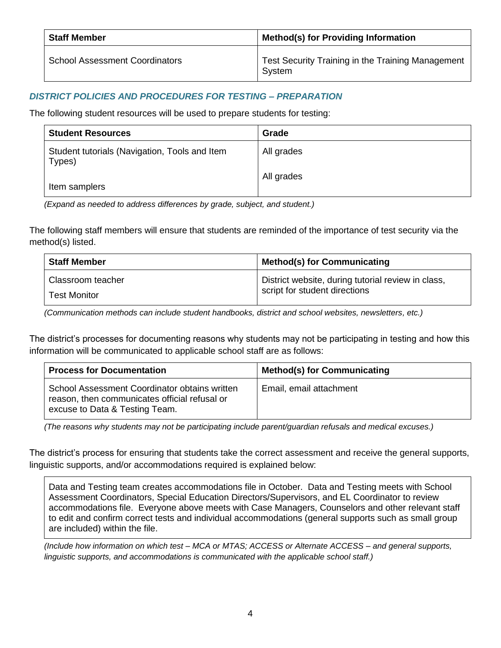| <b>Staff Member</b>                   | <b>Method(s) for Providing Information</b>                  |
|---------------------------------------|-------------------------------------------------------------|
| <b>School Assessment Coordinators</b> | Test Security Training in the Training Management<br>System |

# *DISTRICT POLICIES AND PROCEDURES FOR TESTING – PREPARATION*

The following student resources will be used to prepare students for testing:

| <b>Student Resources</b>                                | Grade      |
|---------------------------------------------------------|------------|
| Student tutorials (Navigation, Tools and Item<br>Types) | All grades |
| Item samplers                                           | All grades |

*(Expand as needed to address differences by grade, subject, and student.)*

The following staff members will ensure that students are reminded of the importance of test security via the method(s) listed.

| <b>Staff Member</b> | <b>Method(s) for Communicating</b>                 |
|---------------------|----------------------------------------------------|
| Classroom teacher   | District website, during tutorial review in class, |
| <b>Test Monitor</b> | script for student directions                      |

*(Communication methods can include student handbooks, district and school websites, newsletters, etc.)*

The district's processes for documenting reasons why students may not be participating in testing and how this information will be communicated to applicable school staff are as follows:

| <b>Process for Documentation</b>                                                                                                 | <b>Method(s) for Communicating</b> |
|----------------------------------------------------------------------------------------------------------------------------------|------------------------------------|
| School Assessment Coordinator obtains written<br>reason, then communicates official refusal or<br>excuse to Data & Testing Team. | Email, email attachment            |

*(The reasons why students may not be participating include parent/guardian refusals and medical excuses.)* 

The district's process for ensuring that students take the correct assessment and receive the general supports, linguistic supports, and/or accommodations required is explained below:

Data and Testing team creates accommodations file in October. Data and Testing meets with School Assessment Coordinators, Special Education Directors/Supervisors, and EL Coordinator to review accommodations file. Everyone above meets with Case Managers, Counselors and other relevant staff to edit and confirm correct tests and individual accommodations (general supports such as small group are included) within the file.

*(Include how information on which test – MCA or MTAS; ACCESS or Alternate ACCESS – and general supports,*  linguistic supports, and accommodations is communicated with the applicable school staff.)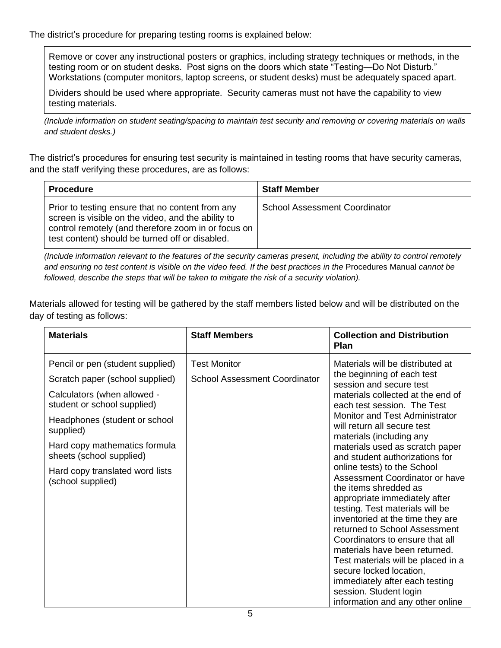The district's procedure for preparing testing rooms is explained below:

Remove or cover any instructional posters or graphics, including strategy techniques or methods, in the testing room or on student desks. Post signs on the doors which state "Testing—Do Not Disturb." Workstations (computer monitors, laptop screens, or student desks) must be adequately spaced apart.

Dividers should be used where appropriate. Security cameras must not have the capability to view testing materials.

*(Include information on student seating/spacing to maintain test security and removing or covering materials on walls and student desks.)*

The district's procedures for ensuring test security is maintained in testing rooms that have security cameras, and the staff verifying these procedures, are as follows:

| <b>Procedure</b>                                                                                                                                                                                                 | <b>Staff Member</b>                  |
|------------------------------------------------------------------------------------------------------------------------------------------------------------------------------------------------------------------|--------------------------------------|
| Prior to testing ensure that no content from any<br>screen is visible on the video, and the ability to<br>control remotely (and therefore zoom in or focus on<br>test content) should be turned off or disabled. | <b>School Assessment Coordinator</b> |

*(Include information relevant to the features of the security cameras present, including the ability to control remotely and ensuring no test content is visible on the video feed. If the best practices in the* Procedures Manual *cannot be followed, describe the steps that will be taken to mitigate the risk of a security violation).* 

Materials allowed for testing will be gathered by the staff members listed below and will be distributed on the day of testing as follows:

| <b>Materials</b>                                           | <b>Staff Members</b>                 | <b>Collection and Distribution</b><br><b>Plan</b>                                                                                                                                                                                                                                                                                                                                                                                                                    |
|------------------------------------------------------------|--------------------------------------|----------------------------------------------------------------------------------------------------------------------------------------------------------------------------------------------------------------------------------------------------------------------------------------------------------------------------------------------------------------------------------------------------------------------------------------------------------------------|
| Pencil or pen (student supplied)                           | <b>Test Monitor</b>                  | Materials will be distributed at<br>the beginning of each test                                                                                                                                                                                                                                                                                                                                                                                                       |
| Scratch paper (school supplied)                            | <b>School Assessment Coordinator</b> | session and secure test                                                                                                                                                                                                                                                                                                                                                                                                                                              |
| Calculators (when allowed -<br>student or school supplied) |                                      | materials collected at the end of<br>each test session. The Test                                                                                                                                                                                                                                                                                                                                                                                                     |
| Headphones (student or school<br>supplied)                 |                                      | Monitor and Test Administrator<br>will return all secure test<br>materials (including any                                                                                                                                                                                                                                                                                                                                                                            |
| Hard copy mathematics formula<br>sheets (school supplied)  |                                      | materials used as scratch paper<br>and student authorizations for                                                                                                                                                                                                                                                                                                                                                                                                    |
| Hard copy translated word lists<br>(school supplied)       |                                      | online tests) to the School<br>Assessment Coordinator or have<br>the items shredded as<br>appropriate immediately after<br>testing. Test materials will be<br>inventoried at the time they are<br>returned to School Assessment<br>Coordinators to ensure that all<br>materials have been returned.<br>Test materials will be placed in a<br>secure locked location,<br>immediately after each testing<br>session. Student login<br>information and any other online |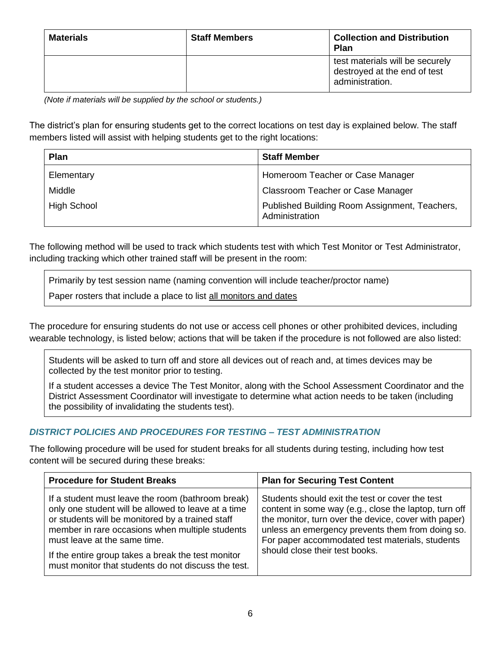| <b>Materials</b> | <b>Staff Members</b> | <b>Collection and Distribution</b><br><b>Plan</b>                                  |
|------------------|----------------------|------------------------------------------------------------------------------------|
|                  |                      | test materials will be securely<br>destroyed at the end of test<br>administration. |

*(Note if materials will be supplied by the school or students.)*

The district's plan for ensuring students get to the correct locations on test day is explained below. The staff members listed will assist with helping students get to the right locations:

| Plan               | <b>Staff Member</b>                                             |
|--------------------|-----------------------------------------------------------------|
| Elementary         | Homeroom Teacher or Case Manager                                |
| Middle             | Classroom Teacher or Case Manager                               |
| <b>High School</b> | Published Building Room Assignment, Teachers,<br>Administration |

The following method will be used to track which students test with which Test Monitor or Test Administrator, including tracking which other trained staff will be present in the room:

Primarily by test session name (naming convention will include teacher/proctor name)

Paper rosters that include a place to list all monitors and dates

The procedure for ensuring students do not use or access cell phones or other prohibited devices, including wearable technology, is listed below; actions that will be taken if the procedure is not followed are also listed:

Students will be asked to turn off and store all devices out of reach and, at times devices may be collected by the test monitor prior to testing.

If a student accesses a device The Test Monitor, along with the School Assessment Coordinator and the District Assessment Coordinator will investigate to determine what action needs to be taken (including the possibility of invalidating the students test).

# *DISTRICT POLICIES AND PROCEDURES FOR TESTING – TEST ADMINISTRATION*

The following procedure will be used for student breaks for all students during testing, including how test content will be secured during these breaks:

| <b>Procedure for Student Breaks</b>                                                                                                                                                                                                                                                                                                                          | <b>Plan for Securing Test Content</b>                                                                                                                                                                                                                                                                     |
|--------------------------------------------------------------------------------------------------------------------------------------------------------------------------------------------------------------------------------------------------------------------------------------------------------------------------------------------------------------|-----------------------------------------------------------------------------------------------------------------------------------------------------------------------------------------------------------------------------------------------------------------------------------------------------------|
| If a student must leave the room (bathroom break)<br>only one student will be allowed to leave at a time<br>or students will be monitored by a trained staff<br>member in rare occasions when multiple students<br>must leave at the same time.<br>If the entire group takes a break the test monitor<br>must monitor that students do not discuss the test. | Students should exit the test or cover the test<br>content in some way (e.g., close the laptop, turn off<br>the monitor, turn over the device, cover with paper)<br>unless an emergency prevents them from doing so.<br>For paper accommodated test materials, students<br>should close their test books. |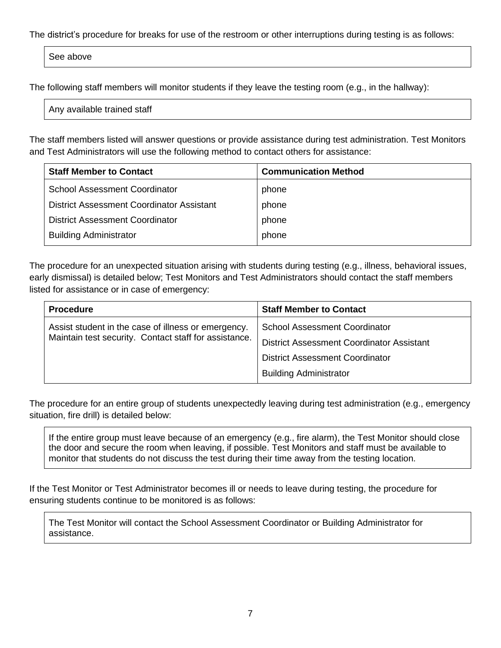The district's procedure for breaks for use of the restroom or other interruptions during testing is as follows:

See above

The following staff members will monitor students if they leave the testing room (e.g., in the hallway):

Any available trained staff

The staff members listed will answer questions or provide assistance during test administration. Test Monitors and Test Administrators will use the following method to contact others for assistance:

| <b>Staff Member to Contact</b>                   | <b>Communication Method</b> |
|--------------------------------------------------|-----------------------------|
| <b>School Assessment Coordinator</b>             | phone                       |
| <b>District Assessment Coordinator Assistant</b> | phone                       |
| <b>District Assessment Coordinator</b>           | phone                       |
| <b>Building Administrator</b>                    | phone                       |

The procedure for an unexpected situation arising with students during testing (e.g., illness, behavioral issues, early dismissal) is detailed below; Test Monitors and Test Administrators should contact the staff members listed for assistance or in case of emergency:

| <b>Procedure</b>                                      | <b>Staff Member to Contact</b>            |
|-------------------------------------------------------|-------------------------------------------|
| Assist student in the case of illness or emergency.   | <b>School Assessment Coordinator</b>      |
| Maintain test security. Contact staff for assistance. | District Assessment Coordinator Assistant |
|                                                       | <b>District Assessment Coordinator</b>    |
|                                                       | <b>Building Administrator</b>             |

The procedure for an entire group of students unexpectedly leaving during test administration (e.g., emergency situation, fire drill) is detailed below:

If the entire group must leave because of an emergency (e.g., fire alarm), the Test Monitor should close the door and secure the room when leaving, if possible. Test Monitors and staff must be available to monitor that students do not discuss the test during their time away from the testing location.

If the Test Monitor or Test Administrator becomes ill or needs to leave during testing, the procedure for ensuring students continue to be monitored is as follows:

The Test Monitor will contact the School Assessment Coordinator or Building Administrator for assistance.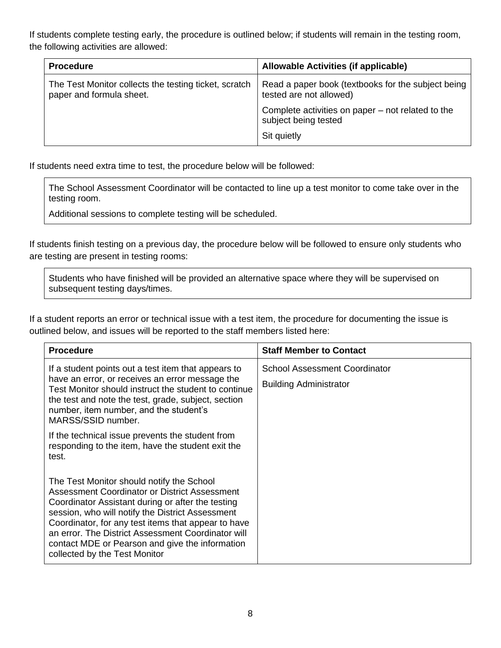If students complete testing early, the procedure is outlined below; if students will remain in the testing room, the following activities are allowed:

| <b>Procedure</b>                                                                  | Allowable Activities (if applicable)                                          |
|-----------------------------------------------------------------------------------|-------------------------------------------------------------------------------|
| The Test Monitor collects the testing ticket, scratch<br>paper and formula sheet. | Read a paper book (textbooks for the subject being<br>tested are not allowed) |
|                                                                                   | Complete activities on paper – not related to the<br>subject being tested     |
|                                                                                   | Sit quietly                                                                   |

If students need extra time to test, the procedure below will be followed:

The School Assessment Coordinator will be contacted to line up a test monitor to come take over in the testing room.

Additional sessions to complete testing will be scheduled.

If students finish testing on a previous day, the procedure below will be followed to ensure only students who are testing are present in testing rooms:

Students who have finished will be provided an alternative space where they will be supervised on subsequent testing days/times.

If a student reports an error or technical issue with a test item, the procedure for documenting the issue is outlined below, and issues will be reported to the staff members listed here:

| <b>Procedure</b>                                                                                                                                                                                                                                                                                                                                                                                     | <b>Staff Member to Contact</b>                                        |
|------------------------------------------------------------------------------------------------------------------------------------------------------------------------------------------------------------------------------------------------------------------------------------------------------------------------------------------------------------------------------------------------------|-----------------------------------------------------------------------|
| If a student points out a test item that appears to<br>have an error, or receives an error message the<br>Test Monitor should instruct the student to continue<br>the test and note the test, grade, subject, section<br>number, item number, and the student's<br>MARSS/SSID number.                                                                                                                | <b>School Assessment Coordinator</b><br><b>Building Administrator</b> |
| If the technical issue prevents the student from<br>responding to the item, have the student exit the<br>test.                                                                                                                                                                                                                                                                                       |                                                                       |
| The Test Monitor should notify the School<br>Assessment Coordinator or District Assessment<br>Coordinator Assistant during or after the testing<br>session, who will notify the District Assessment<br>Coordinator, for any test items that appear to have<br>an error. The District Assessment Coordinator will<br>contact MDE or Pearson and give the information<br>collected by the Test Monitor |                                                                       |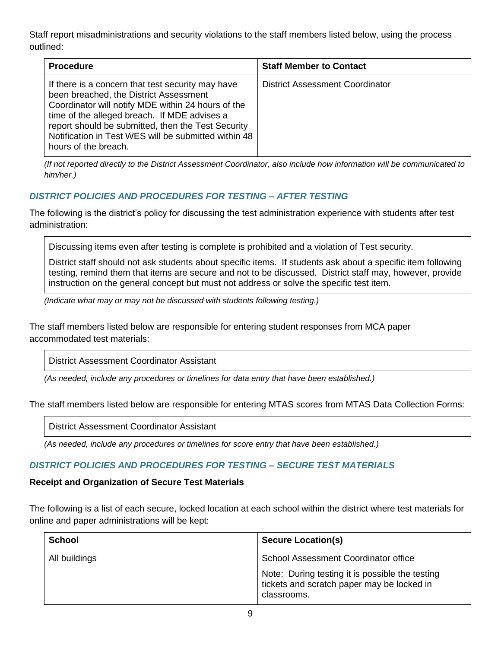Staff report misadministrations and security violations to the staff members listed below, using the process outlined:

| <b>Procedure</b>                                                                                                                                                                                                                                                                                                                        | <b>Staff Member to Contact</b>  |
|-----------------------------------------------------------------------------------------------------------------------------------------------------------------------------------------------------------------------------------------------------------------------------------------------------------------------------------------|---------------------------------|
| If there is a concern that test security may have<br>been breached, the District Assessment<br>Coordinator will notify MDE within 24 hours of the<br>time of the alleged breach. If MDE advises a<br>report should be submitted, then the Test Security<br>Notification in Test WES will be submitted within 48<br>hours of the breach. | District Assessment Coordinator |

*(If not reported directly to the District Assessment Coordinator, also include how information will be communicated to him/her.)*

## *DISTRICT POLICIES AND PROCEDURES FOR TESTING – AFTER TESTING*

The following is the district's policy for discussing the test administration experience with students after test administration:

Discussing items even after testing is complete is prohibited and a violation of Test security.

District staff should not ask students about specific items. If students ask about a specific item following testing, remind them that items are secure and not to be discussed. District staff may, however, provide instruction on the general concept but must not address or solve the specific test item.

*(Indicate what may or may not be discussed with students following testing.)*

The staff members listed below are responsible for entering student responses from MCA paper accommodated test materials:

District Assessment Coordinator Assistant

*(As needed, include any procedures or timelines for data entry that have been established.)*

The staff members listed below are responsible for entering MTAS scores from MTAS Data Collection Forms:

District Assessment Coordinator Assistant

*(As needed, include any procedures or timelines for score entry that have been established.)*

## *DISTRICT POLICIES AND PROCEDURES FOR TESTING – SECURE TEST MATERIALS*

### **Receipt and Organization of Secure Test Materials**

The following is a list of each secure, locked location at each school within the district where test materials for online and paper administrations will be kept:

| <b>School</b> | <b>Secure Location(s)</b>                                                                                    |
|---------------|--------------------------------------------------------------------------------------------------------------|
| All buildings | School Assessment Coordinator office                                                                         |
|               | Note: During testing it is possible the testing<br>tickets and scratch paper may be locked in<br>classrooms. |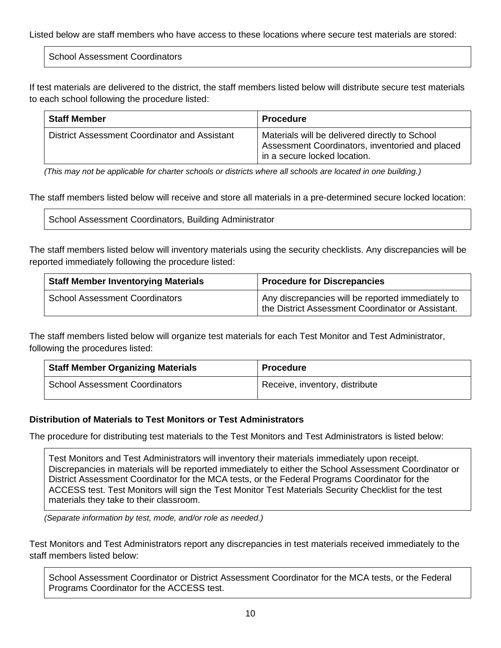Listed below are staff members who have access to these locations where secure test materials are stored:

School Assessment Coordinators

If test materials are delivered to the district, the staff members listed below will distribute secure test materials to each school following the procedure listed:

| <b>Staff Member</b>                           | <b>Procedure</b>                                                                                                                  |
|-----------------------------------------------|-----------------------------------------------------------------------------------------------------------------------------------|
| District Assessment Coordinator and Assistant | Materials will be delivered directly to School<br>Assessment Coordinators, inventoried and placed<br>in a secure locked location. |

*(This may not be applicable for charter schools or districts where all schools are located in one building.)*

The staff members listed below will receive and store all materials in a pre-determined secure locked location:

School Assessment Coordinators, Building Administrator

The staff members listed below will inventory materials using the security checklists. Any discrepancies will be reported immediately following the procedure listed:

| <b>Staff Member Inventorying Materials</b> | <b>Procedure for Discrepancies</b>                                                                     |
|--------------------------------------------|--------------------------------------------------------------------------------------------------------|
| <b>School Assessment Coordinators</b>      | Any discrepancies will be reported immediately to<br>the District Assessment Coordinator or Assistant. |

The staff members listed below will organize test materials for each Test Monitor and Test Administrator, following the procedures listed:

| <b>Staff Member Organizing Materials</b> | <b>Procedure</b>               |
|------------------------------------------|--------------------------------|
| <b>School Assessment Coordinators</b>    | Receive, inventory, distribute |

## **Distribution of Materials to Test Monitors or Test Administrators**

The procedure for distributing test materials to the Test Monitors and Test Administrators is listed below:

Test Monitors and Test Administrators will inventory their materials immediately upon receipt. Discrepancies in materials will be reported immediately to either the School Assessment Coordinator or District Assessment Coordinator for the MCA tests, or the Federal Programs Coordinator for the ACCESS test. Test Monitors will sign the Test Monitor Test Materials Security Checklist for the test materials they take to their classroom.

*(Separate information by test, mode, and/or role as needed.)*

Test Monitors and Test Administrators report any discrepancies in test materials received immediately to the staff members listed below:

School Assessment Coordinator or District Assessment Coordinator for the MCA tests, or the Federal Programs Coordinator for the ACCESS test.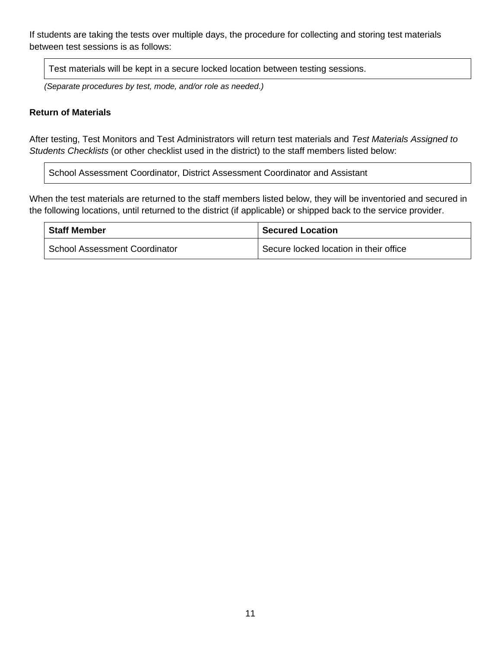If students are taking the tests over multiple days, the procedure for collecting and storing test materials between test sessions is as follows:

Test materials will be kept in a secure locked location between testing sessions.

*(Separate procedures by test, mode, and/or role as needed.)*

### **Return of Materials**

After testing, Test Monitors and Test Administrators will return test materials and *Test Materials Assigned to Students Checklists* (or other checklist used in the district) to the staff members listed below:

School Assessment Coordinator, District Assessment Coordinator and Assistant

When the test materials are returned to the staff members listed below, they will be inventoried and secured in the following locations, until returned to the district (if applicable) or shipped back to the service provider.

| <b>Staff Member</b>                  | <b>Secured Location</b>                |
|--------------------------------------|----------------------------------------|
| <b>School Assessment Coordinator</b> | Secure locked location in their office |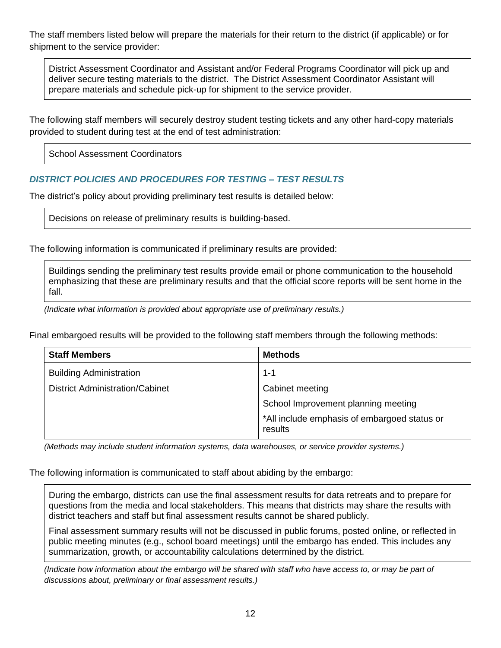The staff members listed below will prepare the materials for their return to the district (if applicable) or for shipment to the service provider:

District Assessment Coordinator and Assistant and/or Federal Programs Coordinator will pick up and deliver secure testing materials to the district. The District Assessment Coordinator Assistant will prepare materials and schedule pick-up for shipment to the service provider.

The following staff members will securely destroy student testing tickets and any other hard-copy materials provided to student during test at the end of test administration:

School Assessment Coordinators

## *DISTRICT POLICIES AND PROCEDURES FOR TESTING – TEST RESULTS*

The district's policy about providing preliminary test results is detailed below:

Decisions on release of preliminary results is building-based.

The following information is communicated if preliminary results are provided:

Buildings sending the preliminary test results provide email or phone communication to the household emphasizing that these are preliminary results and that the official score reports will be sent home in the fall.

*(Indicate what information is provided about appropriate use of preliminary results.)*

Final embargoed results will be provided to the following staff members through the following methods:

| <b>Staff Members</b>                   | <b>Methods</b>                                          |
|----------------------------------------|---------------------------------------------------------|
| <b>Building Administration</b>         | 1-1                                                     |
| <b>District Administration/Cabinet</b> | Cabinet meeting                                         |
|                                        | School Improvement planning meeting                     |
|                                        | *All include emphasis of embargoed status or<br>results |

*(Methods may include student information systems, data warehouses, or service provider systems.)*

The following information is communicated to staff about abiding by the embargo:

During the embargo, districts can use the final assessment results for data retreats and to prepare for questions from the media and local stakeholders. This means that districts may share the results with district teachers and staff but final assessment results cannot be shared publicly.

Final assessment summary results will not be discussed in public forums, posted online, or reflected in public meeting minutes (e.g., school board meetings) until the embargo has ended. This includes any summarization, growth, or accountability calculations determined by the district.

*(Indicate how information about the embargo will be shared with staff who have access to, or may be part of discussions about, preliminary or final assessment results.)*